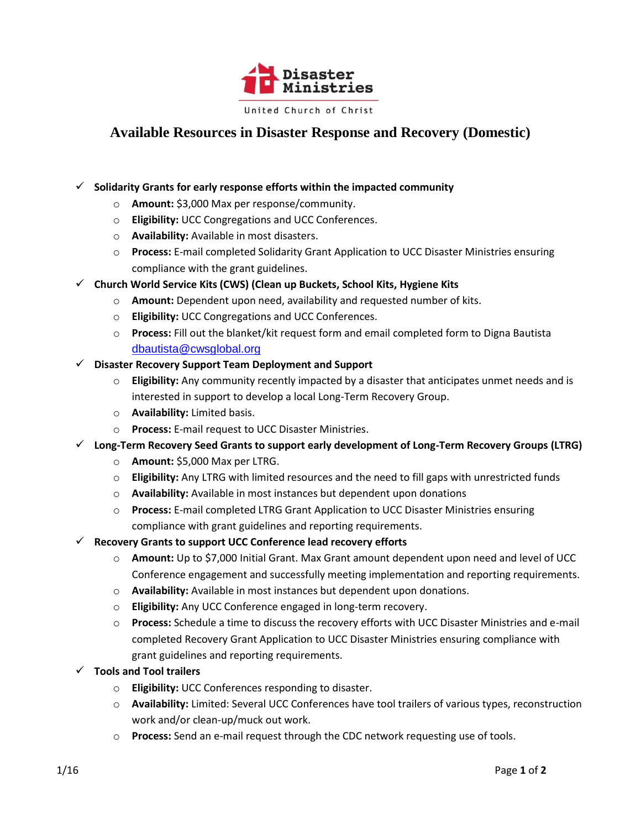

## **Available Resources in Disaster Response and Recovery (Domestic)**

## **Solidarity Grants for early response efforts within the impacted community**

- o **Amount:** \$3,000 Max per response/community.
- o **Eligibility:** UCC Congregations and UCC Conferences.
- o **Availability:** Available in most disasters.
- o **Process:** E-mail completed Solidarity Grant Application to UCC Disaster Ministries ensuring compliance with the grant guidelines.
- **Church World Service Kits (CWS) (Clean up Buckets, School Kits, Hygiene Kits**
	- o **Amount:** Dependent upon need, availability and requested number of kits.
	- o **Eligibility:** UCC Congregations and UCC Conferences.
	- o **Process:** Fill out the blanket/kit request form and email completed form to Digna Bautista [dbautista@cwsglobal.org](mailto:dbautista@cwsglobal.org)
- **Disaster Recovery Support Team Deployment and Support**
	- o **Eligibility:** Any community recently impacted by a disaster that anticipates unmet needs and is interested in support to develop a local Long-Term Recovery Group.
	- o **Availability:** Limited basis.
	- o **Process:** E-mail request to UCC Disaster Ministries.
- **Long-Term Recovery Seed Grants to support early development of Long-Term Recovery Groups (LTRG)**
	- o **Amount:** \$5,000 Max per LTRG.
	- o **Eligibility:** Any LTRG with limited resources and the need to fill gaps with unrestricted funds
	- o **Availability:** Available in most instances but dependent upon donations
	- o **Process:** E-mail completed LTRG Grant Application to UCC Disaster Ministries ensuring compliance with grant guidelines and reporting requirements.
- **Recovery Grants to support UCC Conference lead recovery efforts**
	- o **Amount:** Up to \$7,000 Initial Grant. Max Grant amount dependent upon need and level of UCC Conference engagement and successfully meeting implementation and reporting requirements.
	- o **Availability:** Available in most instances but dependent upon donations.
	- o **Eligibility:** Any UCC Conference engaged in long-term recovery.
	- o **Process:** Schedule a time to discuss the recovery efforts with UCC Disaster Ministries and e-mail completed Recovery Grant Application to UCC Disaster Ministries ensuring compliance with grant guidelines and reporting requirements.
- **Tools and Tool trailers**
	- o **Eligibility:** UCC Conferences responding to disaster.
	- o **Availability:** Limited: Several UCC Conferences have tool trailers of various types, reconstruction work and/or clean-up/muck out work.
	- o **Process:** Send an e-mail request through the CDC network requesting use of tools.